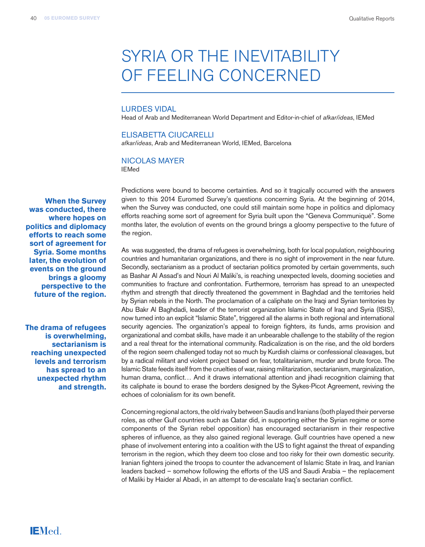# SYRIA OR THE INEVITABILITY OF FEELING CONCERNED

### LURDES VIDAL

Head of Arab and Mediterranean World Department and Editor-in-chief of *afkar/ideas*, IEMed

#### ELISABETTA CIUCARELLI

*afkar/ideas*, Arab and Mediterranean World, IEMed, Barcelona

# NICOLAS MAYER

IEMed

**When the Survey was conducted, there where hopes on politics and diplomacy efforts to reach some sort of agreement for Syria. Some months later, the evolution of events on the ground brings a gloomy perspective to the future of the region.**

**The drama of refugees is overwhelming, sectarianism is reaching unexpected levels and terrorism has spread to an unexpected rhythm and strength.** Predictions were bound to become certainties. And so it tragically occurred with the answers given to this 2014 Euromed Survey's questions concerning Syria. At the beginning of 2014, when the Survey was conducted, one could still maintain some hope in politics and diplomacy efforts reaching some sort of agreement for Syria built upon the "Geneva Communiqué". Some months later, the evolution of events on the ground brings a gloomy perspective to the future of the region.

As was suggested, the drama of refugees is overwhelming, both for local population, neighbouring countries and humanitarian organizations, and there is no sight of improvement in the near future. Secondly, sectarianism as a product of sectarian politics promoted by certain governments, such as Bashar Al Assad's and Nouri Al Maliki's, is reaching unexpected levels, dooming societies and communities to fracture and confrontation. Furthermore, terrorism has spread to an unexpected rhythm and strength that directly threatened the government in Baghdad and the territories held by Syrian rebels in the North. The proclamation of a caliphate on the Iraqi and Syrian territories by Abu Bakr Al Baghdadi, leader of the terrorist organization Islamic State of Iraq and Syria (ISIS), now turned into an explicit "Islamic State", triggered all the alarms in both regional and international security agencies. The organization's appeal to foreign fighters, its funds, arms provision and organizational and combat skills, have made it an unbearable challenge to the stability of the region and a real threat for the international community. Radicalization is on the rise, and the old borders of the region seem challenged today not so much by Kurdish claims or confessional cleavages, but by a radical militant and violent project based on fear, totalitarianism, murder and brute force. The Islamic State feeds itself from the cruelties of war, raising militarization, sectarianism, marginalization, human drama, conflict… And it draws international attention and jihadi recognition claiming that its caliphate is bound to erase the borders designed by the Sykes-Picot Agreement, reviving the echoes of colonialism for its own benefit.

Concerning regional actors, the old rivalry between Saudis and Iranians (both played their perverse roles, as other Gulf countries such as Qatar did, in supporting either the Syrian regime or some components of the Syrian rebel opposition) has encouraged sectarianism in their respective spheres of influence, as they also gained regional leverage. Gulf countries have opened a new phase of involvement entering into a coalition with the US to fight against the threat of expanding terrorism in the region, which they deem too close and too risky for their own domestic security. Iranian fighters joined the troops to counter the advancement of Islamic State in Iraq, and Iranian leaders backed – somehow following the efforts of the US and Saudi Arabia – the replacement of Maliki by Haider al Abadi, in an attempt to de-escalate Iraq's sectarian conflict.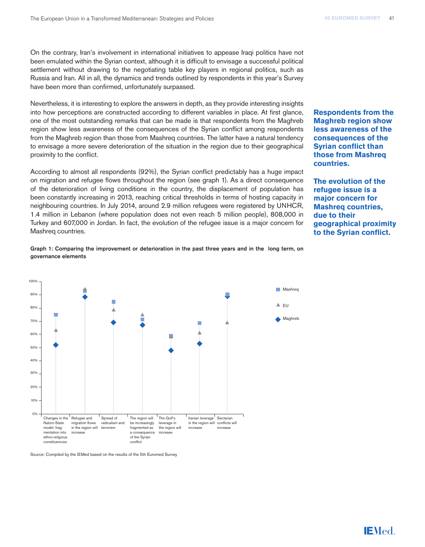On the contrary, Iran's involvement in international initiatives to appease Iraqi politics have not been emulated within the Syrian context, although it is difficult to envisage a successful political settlement without drawing to the negotiating table key players in regional politics, such as Russia and Iran. All in all, the dynamics and trends outlined by respondents in this year's Survey have been more than confirmed, unfortunately surpassed.

Nevertheless, it is interesting to explore the answers in depth, as they provide interesting insights into how perceptions are constructed according to different variables in place. At first glance, one of the most outstanding remarks that can be made is that respondents from the Maghreb region show less awareness of the consequences of the Syrian conflict among respondents from the Maghreb region than those from Mashreq countries. The latter have a natural tendency to envisage a more severe deterioration of the situation in the region due to their geographical proximity to the conflict.

According to almost all respondents (92%), the Syrian conflict predictably has a huge impact on migration and refugee flows throughout the region (see graph 1). As a direct consequence of the deterioration of living conditions in the country, the displacement of population has been constantly increasing in 2013, reaching critical thresholds in terms of hosting capacity in neighbouring countries. In July 2014, around 2.9 million refugees were registered by UNHCR, 1.4 million in Lebanon (where population does not even reach 5 million people), 808,000 in Turkey and 607,000 in Jordan. In fact, the evolution of the refugee issue is a major concern for Mashreq countries.

## Graph 1: Comparing the improvement or deterioration in the past three years and in the long term, on governance elements



Source: Compiled by the IEMed based on the results of the 5th Euromed Survey

**Respondents from the Maghreb region show less awareness of the consequences of the Syrian conflict than those from Mashreq countries.**

**The evolution of the refugee issue is a major concern for Mashreq countries, due to their geographical proximity to the Syrian conflict.**

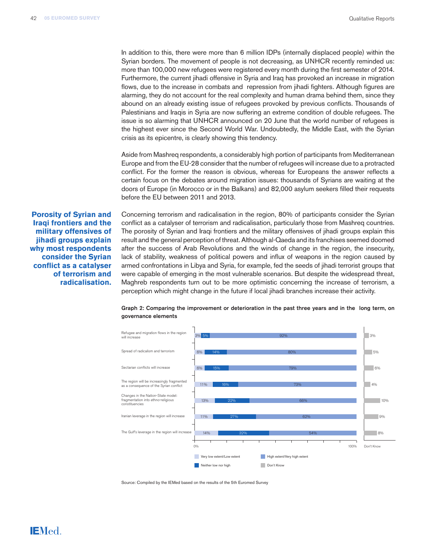In addition to this, there were more than 6 million IDPs (internally displaced people) within the Syrian borders. The movement of people is not decreasing, as UNHCR recently reminded us: more than 100,000 new refugees were registered every month during the first semester of 2014. Furthermore, the current jihadi offensive in Syria and Iraq has provoked an increase in migration flows, due to the increase in combats and repression from jihadi fighters. Although figures are alarming, they do not account for the real complexity and human drama behind them, since they abound on an already existing issue of refugees provoked by previous conflicts. Thousands of Palestinians and Iraqis in Syria are now suffering an extreme condition of double refugees. The issue is so alarming that UNHCR announced on 20 June that the world number of refugees is the highest ever since the Second World War. Undoubtedly, the Middle East, with the Syrian crisis as its epicentre, is clearly showing this tendency.

Aside from Mashreq respondents, a considerably high portion of participants from Mediterranean Europe and from the EU-28 consider that the number of refugees will increase due to a protracted conflict. For the former the reason is obvious, whereas for Europeans the answer reflects a certain focus on the debates around migration issues: thousands of Syrians are waiting at the doors of Europe (in Morocco or in the Balkans) and 82,000 asylum seekers filled their requests before the EU between 2011 and 2013.

**Porosity of Syrian and Iraqi frontiers and the military offensives of jihadi groups explain why most respondents consider the Syrian conflict as a catalyser of terrorism and radicalisation.**

**IEMed.** 

Concerning terrorism and radicalisation in the region, 80% of participants consider the Syrian conflict as a catalyser of terrorism and radicalisation, particularly those from Mashreq countries. The porosity of Syrian and Iraqi frontiers and the military offensives of jihadi groups explain this result and the general perception of threat. Although al-Qaeda and its franchises seemed doomed after the success of Arab Revolutions and the winds of change in the region, the insecurity, lack of stability, weakness of political powers and influx of weapons in the region caused by armed confrontations in Libya and Syria, for example, fed the seeds of jihadi terrorist groups that were capable of emerging in the most vulnerable scenarios. But despite the widespread threat, Maghreb respondents turn out to be more optimistic concerning the increase of terrorism, a perception which might change in the future if local jihadi branches increase their activity.



Graph 2: Comparing the improvement or deterioration in the past three years and in the long term, on governance elements

Source: Compiled by the IEMed based on the results of the 5th Euromed Survey